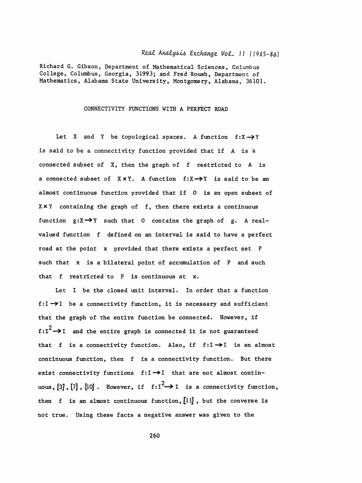## Real Analysis Exchange Vol. 11 (1985-86)

 Richard G. Gibson, Department of Mathematical Sciences, Columbus College, Columbus, Georgia, 31993; and Fred Roush, Department of Mathematics, Alabama State University, Montgomery, Alabama, 36101.

## CONNECTIVITY FUNCTIONS WITH A PERFECT ROAD

Let X and Y be topological spaces. A function  $f: X \rightarrow Y$  is said to be a connectivity function provided that if A is á connected subset of X, then the graph of f restricted to A is a connected subset of  $X \times Y$ . A function  $f: X \rightarrow Y$  is said to be an almost continuous function provided that if 0 is an open subset of Xx Y containing the graph of f, then there exists a continuous function  $g: X \rightarrow Y$  such that 0 contains the graph of g. A real valued function f defined on an interval is said to have a perfect road at the point x provided that there exists a perfect set P such that x is a bilateral point of accumulation of P and such that f restricted to P is continuous at x.

 Let I be the closed unit interval. In order that a function f: $I \rightarrow I$  be a connectivity function, it is necessary and sufficient that the graph of the entire function be connected. However, if  $f:I^2 \rightarrow I$  and the entire graph is connected it is not guaranteed that f is a connectivity function. Also, if  $f:I \rightarrow I$  is an almost continuous function, then f is a connectivity function. But there exist connectivity functions  $f:I\rightarrow I$  that are not almost continuous,  $[3]$ ,  $[7]$ ,  $[10]$ . However, if  $f: I^2 \rightarrow I$  is a then f is an almost continuous function,  $[11]$ , but the converse is not true. Using these facts a negative answer was given to the

260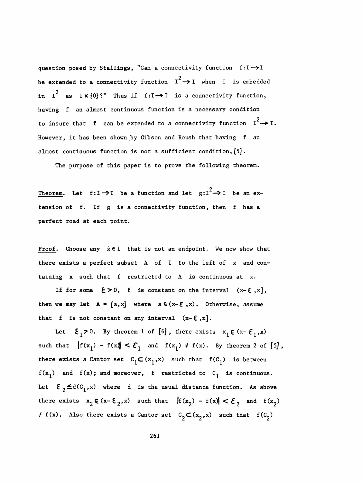question posed by Stallings, "Can a connectivity function  $f:I\rightarrow I$ be extended to a connectivity function  $I^2 \rightarrow I$  when I is embedded in  $I^2$  as  $I \times \{0\}$ ?" Thus if  $f:I \rightarrow I$  is a connectivity function, having f an almost continuous function is a necessary condition to insure that f can be extended to a connectivity function  $I^2 \rightarrow I$ . However, it has been shown by Gibson and Roush that having f an almost continuous function is not a sufficient condition,  $[5]$ .

The purpose of this paper is to prove the following theorem.

Theorem. Let  $f:I \rightarrow I$  be a function and let  $g:I^2 \rightarrow I$  be an ex tension of f. If g is a connectivity function, then f has a perfect road at each point.

 Proof. Choose any x€I that is not an endpoint. We now show that there exists a perfect subset A of I to the left of x and con taining X such that f restricted to A is continuous at x.

If for some  $\xi>0$ , f is constant on the interval  $(x-\xi, x)$ , then we may let  $A = [a, x]$  where  $a \in (x - \varepsilon, x)$ . Otherwise, assume that f is not constant on any interval  $(x-\epsilon, x]$ .

Let  $\xi_1>0$ . By theorem 1 of [6], there exists  $x_1 \in (x-\xi_1,x)$ such that  $|f(x_1) - f(x)| < \mathcal{E}_1$  and  $f(x_1) \neq f(x)$ . By theorem 2 of [5], there exists a Cantor set  $C_1\subset (x_1,x)$  such that  $f(C_1)$  is between  $f(x_1)$  and  $f(x)$ ; and moreover, f restricted to  $C_1$  is continuous. Let  $\mathcal{E}_2 \leq d(C_1, x)$  where d is the usual distance function. As above there exists  $x_2 \in (x-\epsilon_2,x)$  such that  $||f(x_2)-f(x)|| < \epsilon_2$  and  $f(x_2)$  $\neq$  f(x). Also there exists a Cantor set  $C_2\subset (x_2,x)$  such that  $f(C_2)$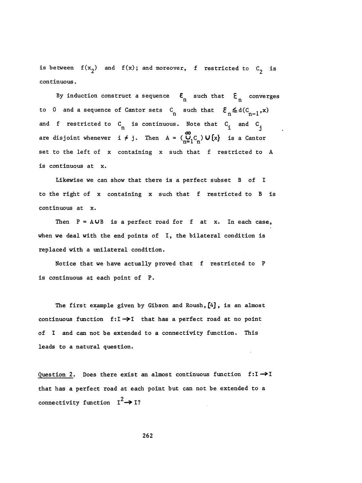is between  $f(x_2)$  and  $f(x)$ ; and moreover, f restricted to  $C_2$  is continuous .

By induction construct a sequence  $\mathbf{E}_{\mathbf{n}}^{\mathbf{r}}$  such that  $\mathbf{E}_{\mathbf{n}}^{\mathbf{r}}$  converges  $n$  such that  $\epsilon_n$ to 0 and a sequence of Cantor sets  $C_n$  such that  $\mathcal{E}_n \leq d(C_{n-1}, x)$ and f restricted to  $C_n$  is continuous. Note that  $C_{\frac{1}{4}}$  and  $C_{\frac{1}{4}}$ uct a sequence  $\epsilon_n$  such that  $\epsilon_n$  conv<br>
Cantor sets  $C_n$  such that  $\epsilon_n \le d(C_{n-1},$ <br>
n is continuous. Note that  $C_i$  and  $C_j$ <br>  $\neq j$ . Then  $A = (C_{n-1}, C_n) \cup \{x\}$  is a Canto are disjoint whenever  $i \neq j$ . Then  $A = \begin{pmatrix} \omega & \omega \\ U_1 C & \omega \end{pmatrix} \cup \{x\}$  is a Cantor set to the left of x containing x such that f restricted to A is continuous at x.

 Likewise we can show that there is a perfect subset B of I to the right of x containing x such that f restricted to B is continuous at x.

Then  $P = A \cup B$  is a perfect road for f at x. In each case, when we deal with the end points of I, the bilateral condition is replaced with a unilateral condition.

 Notice that we have actually proved that f restricted to P is continuous at each point of P.

The first example given by Gibson and Roush,  $[4]$ , is an almost continuous function  $f:I\rightarrow I$  that has a perfect road at no point of I and can not be extended to a connectivity function. This leads to a natural question.

Question 2. Does there exist an almost continuous function  $f:I \rightarrow I$  that has a perfect road at each point but can not be extended to a connectivity function  $I^2 \rightarrow I$ ?

262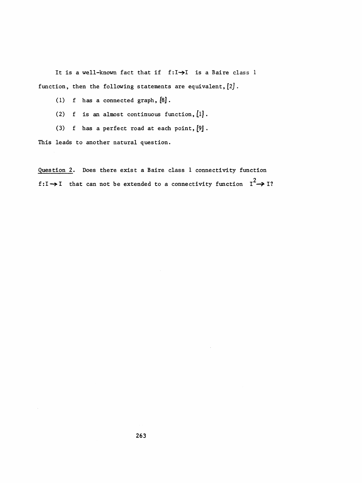It is a well-known fact that if  $f:I\rightarrow I$  is a Baire class 1 function, then the following statements are equivalent,  $[2]$ .

(1) f has a connected graph,  $[8]$ .

(2) f is an almost continuous function,  $[1]$ .

(3) f has a perfect road at each point, [9] .

This leads to another natural question.

 Question 2. Does there exist a Baire class 1 connectivity function  $f:I \rightarrow I$  that can not be extended to a connectivity function  $I^2 \rightarrow I$ ?